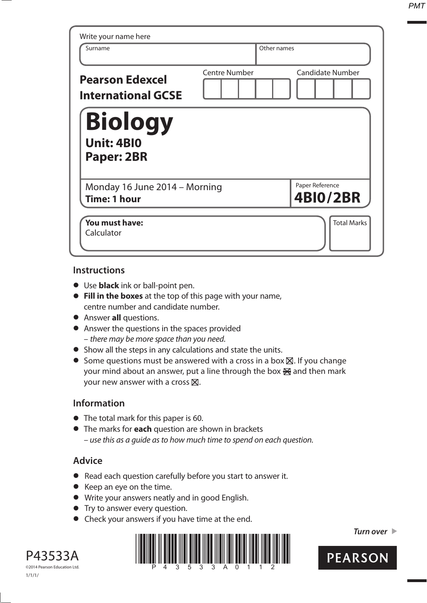*PMT*

| Write your name here<br>Surname                     | Other names          |                                    |
|-----------------------------------------------------|----------------------|------------------------------------|
| <b>Pearson Edexcel</b><br><b>International GCSE</b> | <b>Centre Number</b> | <b>Candidate Number</b>            |
| <b>Biology</b><br><b>Unit: 4BI0</b><br>Paper: 2BR   |                      |                                    |
| Monday 16 June 2014 - Morning<br>Time: 1 hour       |                      | Paper Reference<br><b>4BI0/2BR</b> |
| You must have:<br>Calculator                        |                      | <b>Total Marks</b>                 |

#### **Instructions**

- **t** Use **black** ink or ball-point pen.
- **Fill in the boxes** at the top of this page with your name, centre number and candidate number.
- **•** Answer **all** questions.
- **•** Answer the questions in the spaces provided – there may be more space than you need.
- **•** Show all the steps in any calculations and state the units.
- $\bullet$  Some questions must be answered with a cross in a box  $\boxtimes$ . If you change your mind about an answer, put a line through the box  $\mathbb{R}$  and then mark your new answer with a cross  $\boxtimes$ .

#### **Information**

- **•** The total mark for this paper is 60.
- **t** The marks for **each** question are shown in brackets – use this as a guide as to how much time to spend on each question.

# **Advice**

- **t** Read each question carefully before you start to answer it.
- **t** Keep an eye on the time.
- **t** Write your answers neatly and in good English.
- **•** Try to answer every question.
- **•** Check your answers if you have time at the end.





*Turn over* 

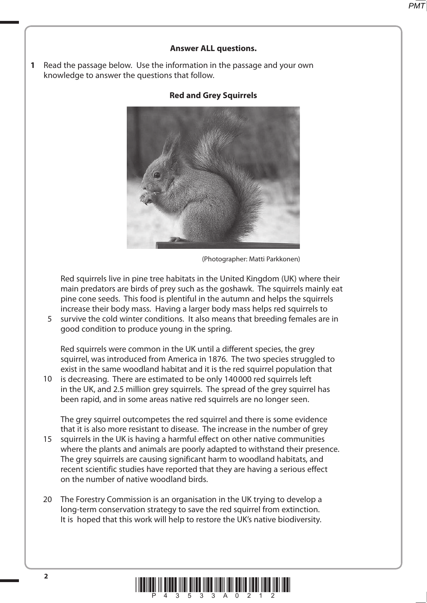## **Answer ALL questions.**

**1** Read the passage below. Use the information in the passage and your own knowledge to answer the questions that follow.

## **Red and Grey Squirrels**



(Photographer: Matti Parkkonen)

 Red squirrels live in pine tree habitats in the United Kingdom (UK) where their main predators are birds of prey such as the goshawk. The squirrels mainly eat pine cone seeds. This food is plentiful in the autumn and helps the squirrels increase their body mass. Having a larger body mass helps red squirrels to

5 survive the cold winter conditions. It also means that breeding females are in good condition to produce young in the spring.

 Red squirrels were common in the UK until a different species, the grey squirrel, was introduced from America in 1876. The two species struggled to exist in the same woodland habitat and it is the red squirrel population that

is decreasing. There are estimated to be only 140000 red squirrels left in the UK, and 2.5 million grey squirrels. The spread of the grey squirrel has been rapid, and in some areas native red squirrels are no longer seen. 10

 The grey squirrel outcompetes the red squirrel and there is some evidence that it is also more resistant to disease. The increase in the number of grey

- 15 squirrels in the UK is having a harmful effect on other native communities where the plants and animals are poorly adapted to withstand their presence. The grey squirrels are causing significant harm to woodland habitats, and recent scientific studies have reported that they are having a serious effect on the number of native woodland birds.
- 20 The Forestry Commission is an organisation in the UK trying to develop a long-term conservation strategy to save the red squirrel from extinction. It is hoped that this work will help to restore the UK's native biodiversity.

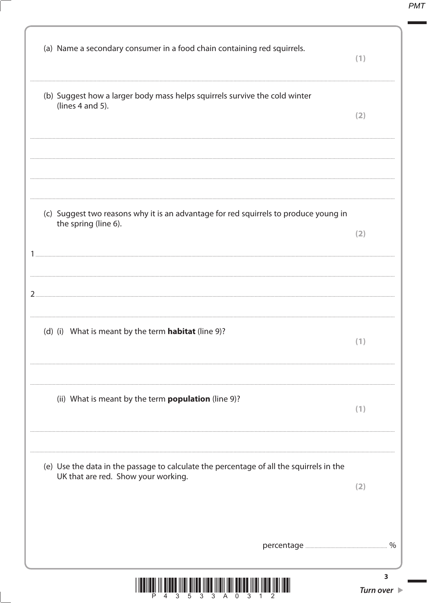| (a) Name a secondary consumer in a food chain containing red squirrels.                                                        | (1)                                  |
|--------------------------------------------------------------------------------------------------------------------------------|--------------------------------------|
| (b) Suggest how a larger body mass helps squirrels survive the cold winter<br>(lines $4$ and $5$ ).                            | (2)                                  |
|                                                                                                                                |                                      |
| (c) Suggest two reasons why it is an advantage for red squirrels to produce young in<br>the spring (line 6).<br>$\mathbf{1}$ . | (2)                                  |
| 2                                                                                                                              |                                      |
| (d) (i) What is meant by the term <b>habitat</b> (line 9)?                                                                     | (1)                                  |
| (ii) What is meant by the term <b>population</b> (line 9)?                                                                     | (1)                                  |
| (e) Use the data in the passage to calculate the percentage of all the squirrels in the<br>UK that are red. Show your working. | (2)                                  |
|                                                                                                                                | $\%$                                 |
| 11                                                                                                                             | 3<br>Turn over $\blacktriangleright$ |

ſ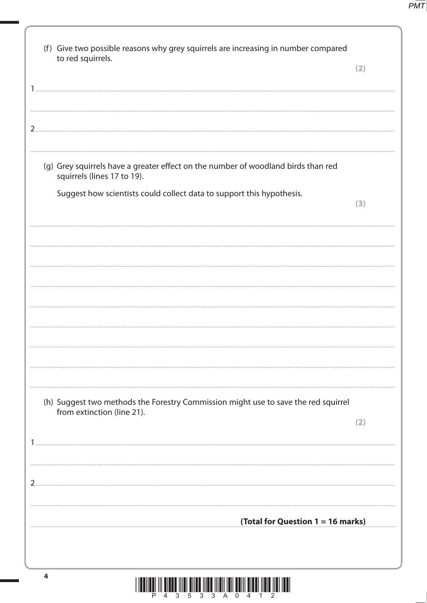| (f) Give two possible reasons why grey squirrels are increasing in number compared<br>to red squirrels.          |     |
|------------------------------------------------------------------------------------------------------------------|-----|
|                                                                                                                  | (2) |
|                                                                                                                  |     |
|                                                                                                                  |     |
|                                                                                                                  |     |
|                                                                                                                  |     |
| (g) Grey squirrels have a greater effect on the number of woodland birds than red<br>squirrels (lines 17 to 19). |     |
| Suggest how scientists could collect data to support this hypothesis.                                            |     |
|                                                                                                                  | (3) |
|                                                                                                                  |     |
|                                                                                                                  |     |
|                                                                                                                  |     |
|                                                                                                                  |     |
|                                                                                                                  |     |
|                                                                                                                  |     |
|                                                                                                                  |     |
|                                                                                                                  |     |
|                                                                                                                  |     |
| (h) Suggest two methods the Forestry Commission might use to save the red squirrel<br>from extinction (line 21). |     |
|                                                                                                                  | (2) |
|                                                                                                                  |     |
|                                                                                                                  |     |
|                                                                                                                  |     |
|                                                                                                                  |     |
| (Total for Question 1 = 16 marks)                                                                                |     |
|                                                                                                                  |     |
|                                                                                                                  |     |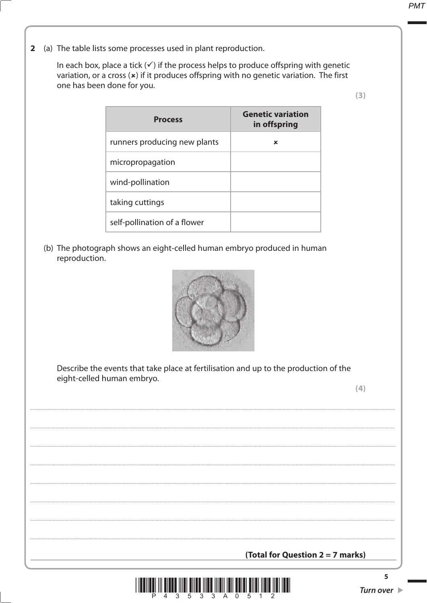2 (a) The table lists some processes used in plant reproduction.

In each box, place a tick  $(\checkmark)$  if the process helps to produce offspring with genetic variation, or a cross  $(x)$  if it produces offspring with no genetic variation. The first one has been done for you.

 $(3)$ 

| <b>Process</b>               | <b>Genetic variation</b><br>in offspring |
|------------------------------|------------------------------------------|
| runners producing new plants | ×                                        |
| micropropagation             |                                          |
| wind-pollination             |                                          |
| taking cuttings              |                                          |
| self-pollination of a flower |                                          |

(b) The photograph shows an eight-celled human embryo produced in human reproduction.



Describe the events that take place at fertilisation and up to the production of the eight-celled human embryo.

 $(4)$ 

### (Total for Question  $2 = 7$  marks)

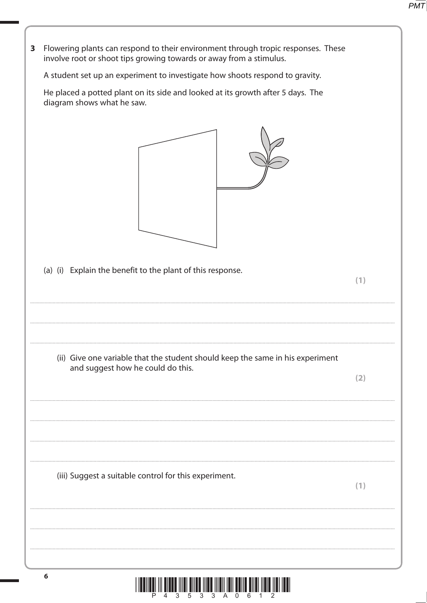3 Flowering plants can respond to their environment through tropic responses. These involve root or shoot tips growing towards or away from a stimulus. A student set up an experiment to investigate how shoots respond to gravity. He placed a potted plant on its side and looked at its growth after 5 days. The diagram shows what he saw. (a) (i) Explain the benefit to the plant of this response.  $(1)$ (ii) Give one variable that the student should keep the same in his experiment and suggest how he could do this.  $(2)$ (iii) Suggest a suitable control for this experiment.  $(1)$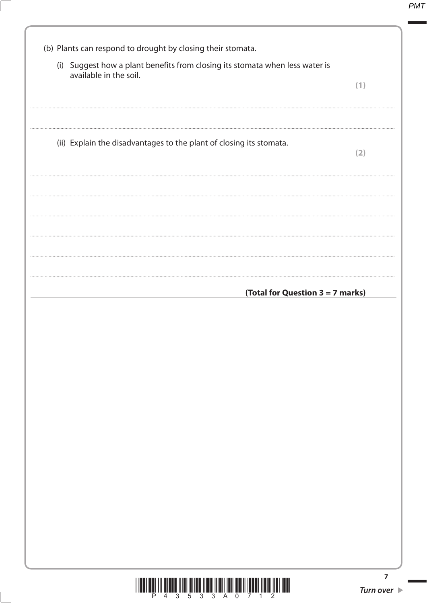| (i) Suggest how a plant benefits from closing its stomata when less water is<br>available in the soil. |     |
|--------------------------------------------------------------------------------------------------------|-----|
|                                                                                                        | (1) |
|                                                                                                        |     |
| (ii) Explain the disadvantages to the plant of closing its stomata.                                    | (2) |
|                                                                                                        |     |
|                                                                                                        |     |
|                                                                                                        |     |
|                                                                                                        |     |
|                                                                                                        |     |
| (Total for Question 3 = 7 marks)                                                                       |     |
|                                                                                                        |     |
|                                                                                                        |     |
|                                                                                                        |     |
|                                                                                                        |     |
|                                                                                                        |     |
|                                                                                                        |     |
|                                                                                                        |     |
|                                                                                                        |     |
|                                                                                                        |     |
|                                                                                                        |     |
|                                                                                                        |     |
|                                                                                                        |     |
|                                                                                                        |     |

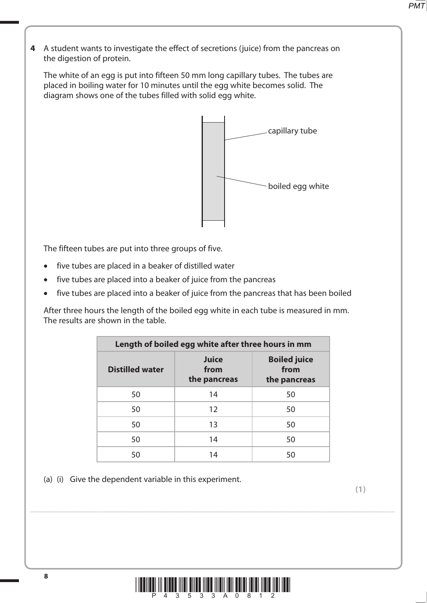**4** A student wants to investigate the effect of secretions (juice) from the pancreas on the digestion of protein.

 The white of an egg is put into fifteen 50 mm long capillary tubes. The tubes are placed in boiling water for 10 minutes until the egg white becomes solid. The diagram shows one of the tubes filled with solid egg white.



The fifteen tubes are put into three groups of five.

- five tubes are placed in a beaker of distilled water
- five tubes are placed into a beaker of juice from the pancreas
- five tubes are placed into a beaker of juice from the pancreas that has been boiled

 After three hours the length of the boiled egg white in each tube is measured in mm. The results are shown in the table.

| Length of boiled egg white after three hours in mm |                                      |                                             |  |  |
|----------------------------------------------------|--------------------------------------|---------------------------------------------|--|--|
| <b>Distilled water</b>                             | <b>Juice</b><br>from<br>the pancreas | <b>Boiled juice</b><br>from<br>the pancreas |  |  |
| 50                                                 | 14                                   | 50                                          |  |  |
| 50                                                 | 12                                   | 50                                          |  |  |
| 50                                                 | 13                                   | 50                                          |  |  |
| 50                                                 | 14                                   | 50                                          |  |  |
| 50                                                 | 14                                   | 50                                          |  |  |

(a) (i) Give the dependent variable in this experiment.



....................................................................................................................................................................................................................................................................................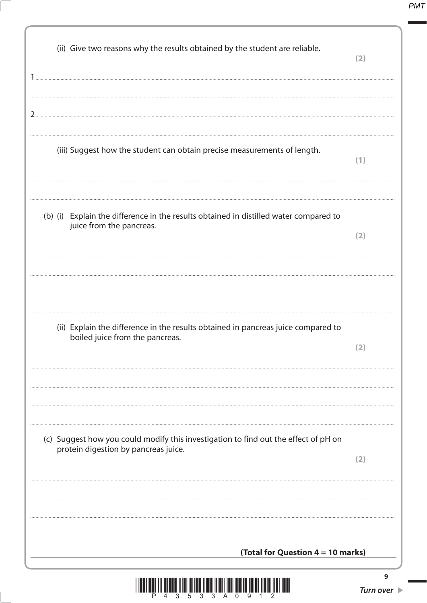**PMT** 

| (ii) Give two reasons why the results obtained by the student are reliable.                                                 | (2)                                  |
|-----------------------------------------------------------------------------------------------------------------------------|--------------------------------------|
| (iii) Suggest how the student can obtain precise measurements of length.                                                    |                                      |
|                                                                                                                             | (1)                                  |
| (b) (i) Explain the difference in the results obtained in distilled water compared to<br>juice from the pancreas.           | (2)                                  |
| (ii) Explain the difference in the results obtained in pancreas juice compared to<br>boiled juice from the pancreas.        | (2)                                  |
| (c) Suggest how you could modify this investigation to find out the effect of pH on<br>protein digestion by pancreas juice. | (2)                                  |
| (Total for Question 4 = 10 marks)                                                                                           |                                      |
|                                                                                                                             | 9<br>Turn over $\blacktriangleright$ |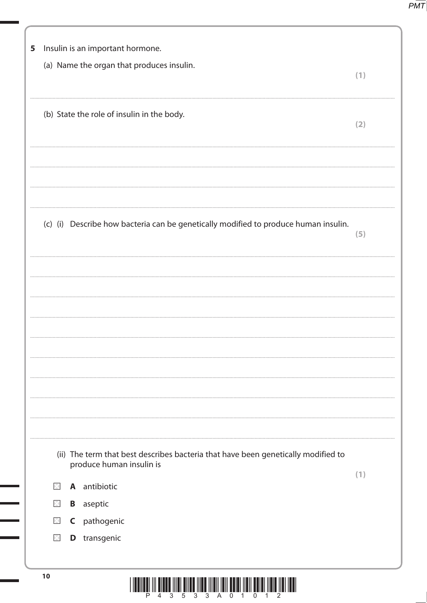$P\overline{MT}$ 

| 5 | Insulin is an important hormone.                                                                                     |  |                                                                                     |     |  |
|---|----------------------------------------------------------------------------------------------------------------------|--|-------------------------------------------------------------------------------------|-----|--|
|   |                                                                                                                      |  | (a) Name the organ that produces insulin.                                           | (1) |  |
|   |                                                                                                                      |  | (b) State the role of insulin in the body.                                          | (2) |  |
|   |                                                                                                                      |  |                                                                                     |     |  |
|   |                                                                                                                      |  | (c) (i) Describe how bacteria can be genetically modified to produce human insulin. | (5) |  |
|   |                                                                                                                      |  |                                                                                     |     |  |
|   |                                                                                                                      |  |                                                                                     |     |  |
|   |                                                                                                                      |  |                                                                                     |     |  |
|   | (ii) The term that best describes bacteria that have been genetically modified to<br>produce human insulin is<br>(1) |  |                                                                                     |     |  |
|   | $\times$                                                                                                             |  | A antibiotic                                                                        |     |  |
|   |                                                                                                                      |  | <b>B</b> aseptic                                                                    |     |  |
|   | $\boxtimes$                                                                                                          |  | <b>C</b> pathogenic                                                                 |     |  |
|   | $\times$                                                                                                             |  | <b>D</b> transgenic                                                                 |     |  |
|   | 10                                                                                                                   |  |                                                                                     |     |  |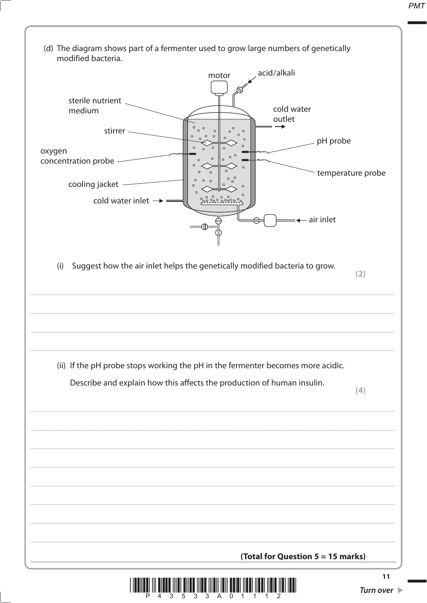